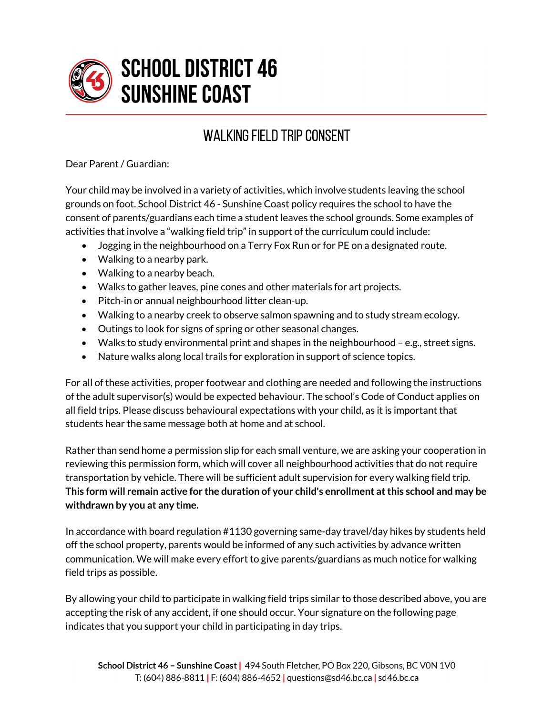

## **SCHOOL DISTRICT 46 SUNSHINE COAST**

## WALKING FIELD TRIP CONSENT

Dear Parent / Guardian:

Your child may be involved in a variety of activities, which involve students leaving the school grounds on foot. School District 46 - Sunshine Coast policy requires the school to have the consent of parents/guardians each time a student leaves the school grounds. Some examples of activities that involve a "walking field trip" in support of the curriculum could include:

- Jogging in the neighbourhood on a Terry Fox Run or for PE on a designated route.
- Walking to a nearby park.
- Walking to a nearby beach.
- Walks to gather leaves, pine cones and other materials for art projects.
- Pitch-in or annual neighbourhood litter clean-up.
- Walking to a nearby creek to observe salmon spawning and to study stream ecology.
- Outings to look for signs of spring or other seasonal changes.
- Walks to study environmental print and shapes in the neighbourhood e.g., street signs.
- Nature walks along local trails for exploration in support of science topics.

For all of these activities, proper footwear and clothing are needed and following the instructions of the adult supervisor(s) would be expected behaviour. The school's Code of Conduct applies on all field trips. Please discuss behavioural expectations with your child, as it is important that students hear the same message both at home and at school.

Rather than send home a permission slip for each small venture, we are asking your cooperation in reviewing this permission form, which will cover all neighbourhood activities that do not require transportation by vehicle. There will be sufficient adult supervision for every walking field trip. **This form will remain active for the duration of your child's enrollment at this school and may be withdrawn by you at any time.**

In accordance with board regulation #1130 governing same-day travel/day hikes by students held off the school property, parents would be informed of any such activities by advance written communication. We will make every effort to give parents/guardians as much notice for walking field trips as possible.

By allowing your child to participate in walking field trips similar to those described above, you are accepting the risk of any accident, if one should occur. Your signature on the following page indicates that you support your child in participating in day trips.